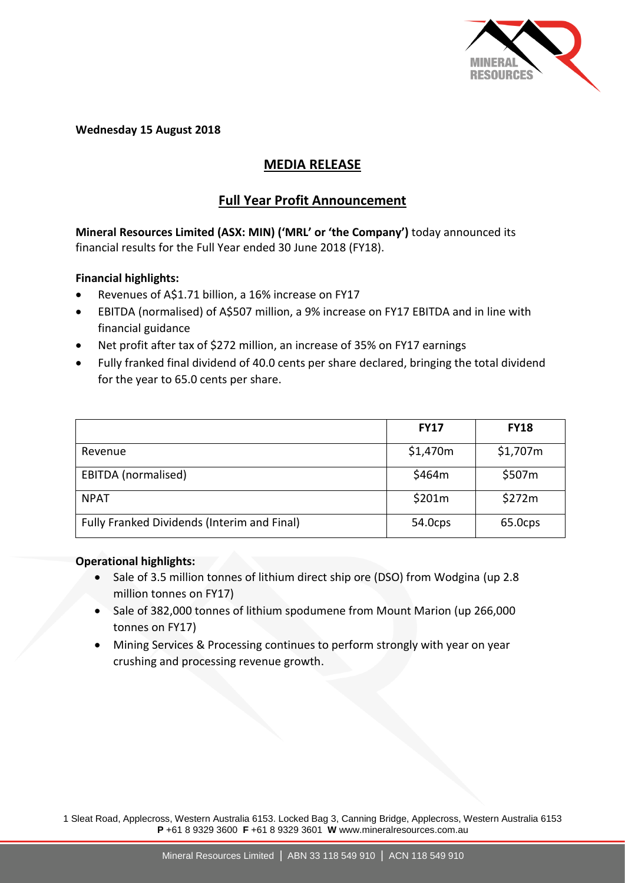

**Wednesday 15 August 2018**

# **MEDIA RELEASE**

## **Full Year Profit Announcement**

**Mineral Resources Limited (ASX: MIN) ('MRL' or 'the Company')** today announced its financial results for the Full Year ended 30 June 2018 (FY18).

### **Financial highlights:**

- Revenues of A\$1.71 billion, a 16% increase on FY17
- EBITDA (normalised) of A\$507 million, a 9% increase on FY17 EBITDA and in line with financial guidance
- Net profit after tax of \$272 million, an increase of 35% on FY17 earnings
- Fully franked final dividend of 40.0 cents per share declared, bringing the total dividend for the year to 65.0 cents per share.

|                                             | <b>FY17</b> | <b>FY18</b> |
|---------------------------------------------|-------------|-------------|
| Revenue                                     | \$1,470m    | \$1,707m    |
| EBITDA (normalised)                         | \$464m      | \$507m      |
| <b>NPAT</b>                                 | \$201m      | \$272m      |
| Fully Franked Dividends (Interim and Final) | 54.0cps     | 65.0cps     |

#### **Operational highlights:**

- Sale of 3.5 million tonnes of lithium direct ship ore (DSO) from Wodgina (up 2.8 million tonnes on FY17)
- Sale of 382,000 tonnes of lithium spodumene from Mount Marion (up 266,000 tonnes on FY17)
- Mining Services & Processing continues to perform strongly with year on year crushing and processing revenue growth.

1 Sleat Road, Applecross, Western Australia 6153. Locked Bag 3, Canning Bridge, Applecross, Western Australia 6153 **P** +61 8 9329 3600 **F** +61 8 9329 3601 **W** www.mineralresources.com.au